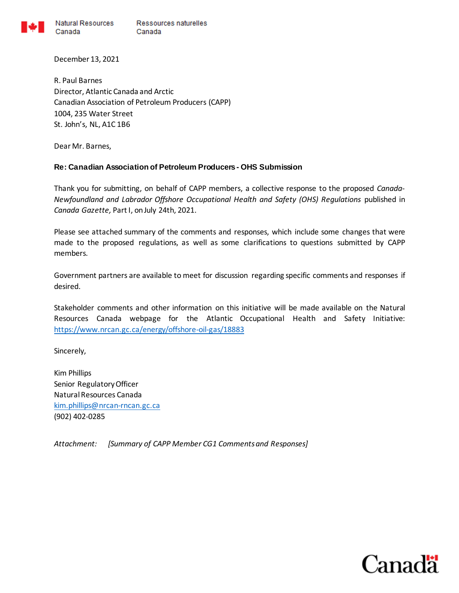

Natural Resources Ressources naturelles Canada Canada

December 13, 2021

R. Paul Barnes Director, Atlantic Canada and Arctic Canadian Association of Petroleum Producers (CAPP) 1004, 235 Water Street St. John's, NL, A1C 1B6

Dear Mr. Barnes,

### **Re: Canadian Association of Petroleum Producers - OHS Submission**

Thank you for submitting, on behalf of CAPP members, a collective response to the proposed *Canada-Newfoundland and Labrador Offshore Occupational Health and Safety (OHS) Regulations* published in *Canada Gazette,* Part I, on July 24th, 2021.

Please see attached summary of the comments and responses, which include some changes that were made to the proposed regulations, as well as some clarifications to questions submitted by CAPP members.

Government partners are available to meet for discussion regarding specific comments and responses if desired.

Stakeholder comments and other information on this initiative will be made available on the Natural Resources Canada webpage for the Atlantic Occupational Health and Safety Initiative: <https://www.nrcan.gc.ca/energy/offshore-oil-gas/18883>

Sincerely,

Kim Phillips Senior Regulatory Officer Natural Resources Canada [kim.phillips@nrcan-rncan.gc.ca](mailto:kim.phillips@nrcan-rncan.gc.ca) (902) 402-0285

*Attachment: [Summary of CAPP Member CG1 Comments and Responses]*

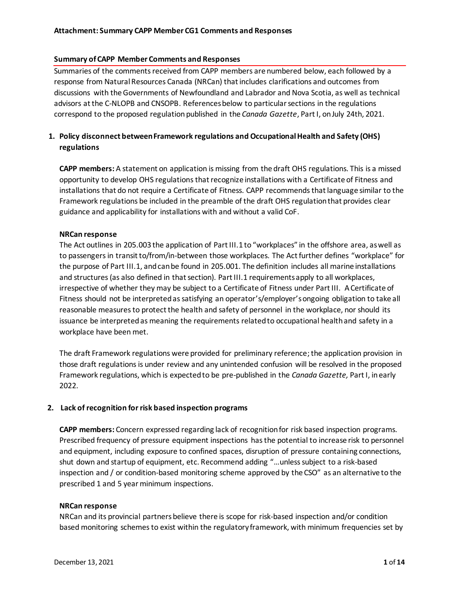### **Summary of CAPP Member Comments and Responses**

Summaries of the comments received from CAPP members are numbered below, each followed by a response from Natural Resources Canada (NRCan) that includes clarifications and outcomes from discussions with the Governments of Newfoundland and Labrador and Nova Scotia, as well as technical advisors at the C-NLOPB and CNSOPB. References below to particular sections in the regulations correspond to the proposed regulation published in the *Canada Gazette*, Part I, on July 24th, 2021.

# **1. Policy disconnect between Framework regulations and Occupational Health and Safety (OHS) regulations**

**CAPP members:** A statement on application is missing from the draft OHS regulations. This is a missed opportunity to develop OHS regulationsthat recognize installations with a Certificate of Fitness and installations that do not require a Certificate of Fitness. CAPP recommendsthat language similar to the Framework regulations be included in the preamble of the draft OHS regulation that provides clear guidance and applicability for installations with and without a valid CoF.

### **NRCan response**

The Act outlines in 205.003 the application of Part III.1 to "workplaces" in the offshore area, as well as to passengers in transit to/from/in-between those workplaces. The Act further defines "workplace" for the purpose of Part III.1, and can be found in 205.001. The definition includes all marine installations and structures (as also defined in that section). Part III.1 requirements apply to all workplaces, irrespective of whether they may be subject to a Certificate of Fitness under Part III. A Certificate of Fitness should not be interpreted as satisfying an operator's/employer's ongoing obligation to take all reasonable measures to protect the health and safety of personnel in the workplace, nor should its issuance be interpreted as meaning the requirements related to occupational health and safety in a workplace have been met.

The draft Framework regulations were provided for preliminary reference; the application provision in those draft regulations is under review and any unintended confusion will be resolved in the proposed Framework regulations, which is expected to be pre-published in the *Canada Gazette,* Part I, in early 2022.

### **2. Lack of recognition for risk based inspection programs**

**CAPP members:** Concern expressed regarding lack of recognition for risk based inspection programs. Prescribed frequency of pressure equipment inspections has the potential to increase risk to personnel and equipment, including exposure to confined spaces, disruption of pressure containing connections, shut down and startup of equipment, etc. Recommend adding "…unless subject to a risk-based inspection and / or condition-based monitoring scheme approved by the CSO" as an alternative to the prescribed 1 and 5 year minimum inspections.

#### **NRCan response**

NRCan and its provincial partners believe there is scope for risk-based inspection and/or condition based monitoring schemes to exist within the regulatory framework, with minimum frequencies set by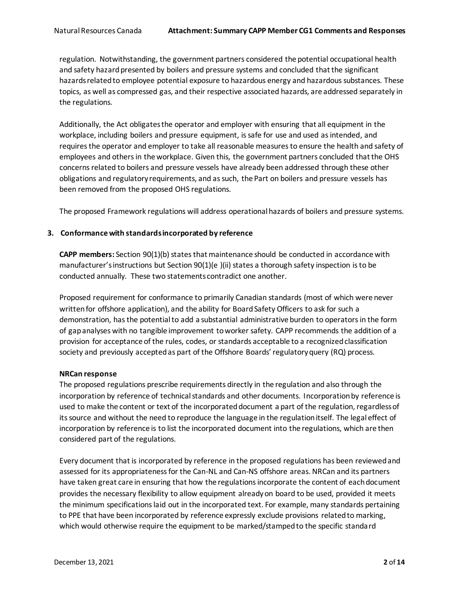regulation. Notwithstanding, the government partners considered the potential occupational health and safety hazard presented by boilers and pressure systems and concluded that the significant hazards related to employee potential exposure to hazardous energy and hazardous substances. These topics, as well as compressed gas, and their respective associated hazards, are addressed separately in the regulations.

Additionally, the Act obligates the operator and employer with ensuring that all equipment in the workplace, including boilers and pressure equipment, is safe for use and used as intended, and requires the operator and employer to take all reasonable measures to ensure the health and safety of employees and others in the workplace. Given this, the government partners concluded that the OHS concerns related to boilers and pressure vessels have already been addressed through these other obligations and regulatory requirements, and as such, the Part on boilers and pressure vessels has been removed from the proposed OHS regulations.

The proposed Framework regulations will address operational hazards of boilers and pressure systems.

## **3. Conformance with standards incorporated by reference**

**CAPP members:** Section 90(1)(b) states that maintenance should be conducted in accordance with manufacturer's instructions but Section 90(1)(e )(ii) states a thorough safety inspection is to be conducted annually. These two statements contradict one another.

Proposed requirement for conformance to primarily Canadian standards (most of which were never written for offshore application), and the ability for Board Safety Officers to ask for such a demonstration, has the potential to add a substantial administrative burden to operators in the form of gap analyses with no tangible improvement to worker safety. CAPP recommends the addition of a provision for acceptance of the rules, codes, or standards acceptable to a recognized classification society and previously accepted as part of the Offshore Boards' regulatory query (RQ) process.

### **NRCan response**

The proposed regulations prescribe requirements directly in the regulation and also through the incorporation by reference of technical standards and other documents. Incorporation by reference is used to make the content or text of the incorporated document a part of the regulation, regardless of its source and without the need to reproduce the language in the regulation itself. The legal effect of incorporation by reference is to list the incorporated document into the regulations, which are then considered part of the regulations.

Every document that is incorporated by reference in the proposed regulations has been reviewed and assessed for its appropriateness for the Can-NL and Can-NS offshore areas. NRCan and its partners have taken great care in ensuring that how the regulations incorporate the content of each document provides the necessary flexibility to allow equipment already on board to be used, provided it meets the minimum specifications laid out in the incorporated text. For example, many standards pertaining to PPE that have been incorporated by reference expressly exclude provisions related to marking, which would otherwise require the equipment to be marked/stamped to the specific standard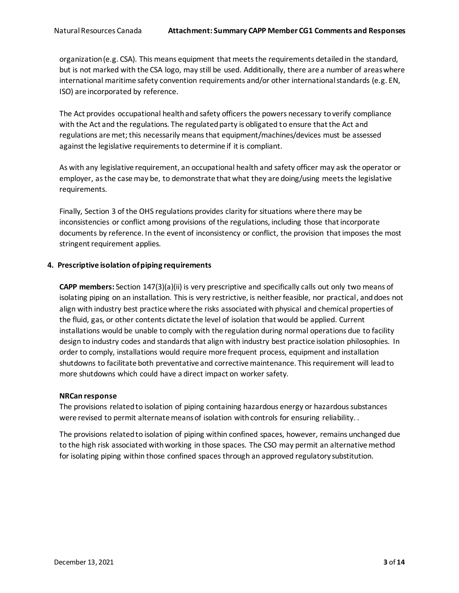organization (e.g. CSA). This means equipment that meets the requirements detailed in the standard, but is not marked with the CSA logo, may still be used. Additionally, there are a number of areas where international maritime safety convention requirements and/or other international standards (e.g. EN, ISO) are incorporated by reference.

The Act provides occupational health and safety officers the powers necessary to verify compliance with the Act and the regulations. The regulated party is obligated to ensure that the Act and regulations are met; this necessarily means that equipment/machines/devices must be assessed against the legislative requirements to determine if it is compliant.

As with any legislative requirement, an occupational health and safety officer may ask the operator or employer, as the case may be, to demonstrate that what they are doing/using meets the legislative requirements.

Finally, Section 3 of the OHS regulations provides clarity for situations where there may be inconsistencies or conflict among provisions of the regulations, including those that incorporate documents by reference. In the event of inconsistency or conflict, the provision that imposes the most stringent requirement applies.

### **4. Prescriptive isolation of piping requirements**

**CAPP members:** Section 147(3)(a)(ii) is very prescriptive and specifically calls out only two means of isolating piping on an installation. This is very restrictive, is neither feasible, nor practical, and does not align with industry best practice where the risks associated with physical and chemical properties of the fluid, gas, or other contents dictate the level of isolation that would be applied. Current installations would be unable to comply with the regulation during normal operations due to facility design to industry codes and standards that align with industry best practice isolation philosophies. In order to comply, installations would require more frequent process, equipment and installation shutdowns to facilitate both preventative and corrective maintenance. This requirement will lead to more shutdowns which could have a direct impact on worker safety.

### **NRCan response**

The provisions related to isolation of piping containing hazardous energy or hazardous substances were revised to permit alternate means of isolation with controls for ensuring reliability..

The provisions related to isolation of piping within confined spaces, however, remains unchanged due to the high risk associated with working in those spaces. The CSO may permit an alternative method for isolating piping within those confined spaces through an approved regulatory substitution.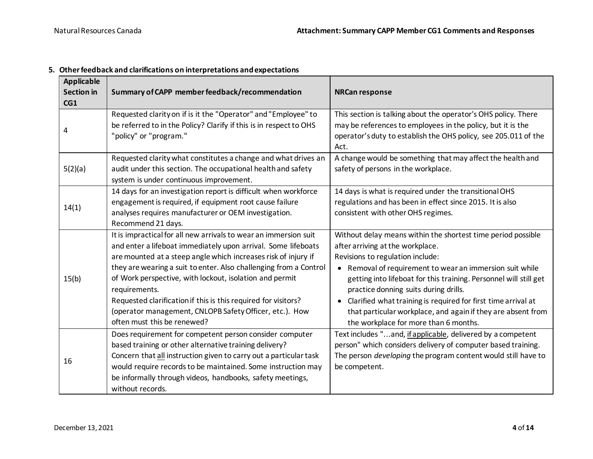| <b>Applicable</b><br><b>Section</b> in<br>CG1 | Summary of CAPP member feedback/recommendation                                                                                                                                                                                                                                                                                                                                                                                                                                                                   | <b>NRCan response</b>                                                                                                                                                                                                                                                                                                                                                                                                                                                                    |
|-----------------------------------------------|------------------------------------------------------------------------------------------------------------------------------------------------------------------------------------------------------------------------------------------------------------------------------------------------------------------------------------------------------------------------------------------------------------------------------------------------------------------------------------------------------------------|------------------------------------------------------------------------------------------------------------------------------------------------------------------------------------------------------------------------------------------------------------------------------------------------------------------------------------------------------------------------------------------------------------------------------------------------------------------------------------------|
| 4                                             | Requested clarity on if is it the "Operator" and "Employee" to<br>be referred to in the Policy? Clarify if this is in respect to OHS<br>"policy" or "program."                                                                                                                                                                                                                                                                                                                                                   | This section is talking about the operator's OHS policy. There<br>may be references to employees in the policy, but it is the<br>operator's duty to establish the OHS policy, see 205.011 of the<br>Act.                                                                                                                                                                                                                                                                                 |
| 5(2)(a)                                       | Requested clarity what constitutes a change and what drives an<br>audit under this section. The occupational health and safety<br>system is under continuous improvement.                                                                                                                                                                                                                                                                                                                                        | A change would be something that may affect the health and<br>safety of persons in the workplace.                                                                                                                                                                                                                                                                                                                                                                                        |
| 14(1)                                         | 14 days for an investigation report is difficult when workforce<br>engagement is required, if equipment root cause failure<br>analyses requires manufacturer or OEM investigation.<br>Recommend 21 days.                                                                                                                                                                                                                                                                                                         | 14 days is what is required under the transitional OHS<br>regulations and has been in effect since 2015. It is also<br>consistent with other OHS regimes.                                                                                                                                                                                                                                                                                                                                |
| 15(b)                                         | It is impractical for all new arrivals to wear an immersion suit<br>and enter a lifeboat immediately upon arrival. Some lifeboats<br>are mounted at a steep angle which increases risk of injury if<br>they are wearing a suit to enter. Also challenging from a Control<br>of Work perspective, with lockout, isolation and permit<br>requirements.<br>Requested clarification if this is this required for visitors?<br>(operator management, CNLOPB Safety Officer, etc.). How<br>often must this be renewed? | Without delay means within the shortest time period possible<br>after arriving at the workplace.<br>Revisions to regulation include:<br>• Removal of requirement to wear an immersion suit while<br>getting into lifeboat for this training. Personnel will still get<br>practice donning suits during drills.<br>Clarified what training is required for first time arrival at<br>that particular workplace, and again if they are absent from<br>the workplace for more than 6 months. |
| 16                                            | Does requirement for competent person consider computer<br>based training or other alternative training delivery?<br>Concern that all instruction given to carry out a particular task<br>would require records to be maintained. Some instruction may<br>be informally through videos, handbooks, safety meetings,<br>without records.                                                                                                                                                                          | Text includes "and, if applicable, delivered by a competent<br>person" which considers delivery of computer based training.<br>The person <i>developing</i> the program content would still have to<br>be competent.                                                                                                                                                                                                                                                                     |

**5. Other feedback and clarifications on interpretations and expectations**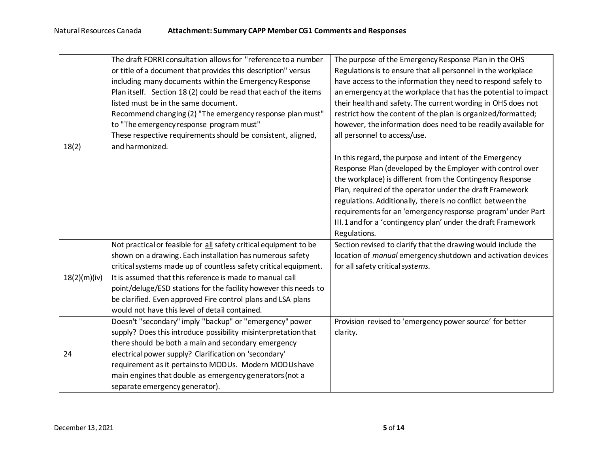|              | The draft FORRI consultation allows for "reference to a number    | The purpose of the Emergency Response Plan in the OHS          |
|--------------|-------------------------------------------------------------------|----------------------------------------------------------------|
|              | or title of a document that provides this description" versus     | Regulations is to ensure that all personnel in the workplace   |
|              | including many documents within the Emergency Response            | have access to the information they need to respond safely to  |
|              | Plan itself. Section 18 (2) could be read that each of the items  | an emergency at the workplace that has the potential to impact |
|              | listed must be in the same document.                              | their health and safety. The current wording in OHS does not   |
|              | Recommend changing (2) "The emergency response plan must"         | restrict how the content of the plan is organized/formatted;   |
|              | to "The emergency response program must"                          | however, the information does need to be readily available for |
|              | These respective requirements should be consistent, aligned,      | all personnel to access/use.                                   |
| 18(2)        | and harmonized.                                                   |                                                                |
|              |                                                                   | In this regard, the purpose and intent of the Emergency        |
|              |                                                                   | Response Plan (developed by the Employer with control over     |
|              |                                                                   | the workplace) is different from the Contingency Response      |
|              |                                                                   | Plan, required of the operator under the draft Framework       |
|              |                                                                   | regulations. Additionally, there is no conflict between the    |
|              |                                                                   | requirements for an 'emergency response program' under Part    |
|              |                                                                   | III.1 and for a 'contingency plan' under the draft Framework   |
|              |                                                                   | Regulations.                                                   |
|              | Not practical or feasible for all safety critical equipment to be | Section revised to clarify that the drawing would include the  |
|              | shown on a drawing. Each installation has numerous safety         | location of manual emergency shutdown and activation devices   |
|              | critical systems made up of countless safety critical equipment.  | for all safety critical systems.                               |
| 18(2)(m)(iv) | It is assumed that this reference is made to manual call          |                                                                |
|              | point/deluge/ESD stations for the facility however this needs to  |                                                                |
|              | be clarified. Even approved Fire control plans and LSA plans      |                                                                |
|              | would not have this level of detail contained.                    |                                                                |
|              | Doesn't "secondary" imply "backup" or "emergency" power           | Provision revised to 'emergency power source' for better       |
|              | supply? Does this introduce possibility misinterpretation that    | clarity.                                                       |
|              | there should be both a main and secondary emergency               |                                                                |
| 24           | electrical power supply? Clarification on 'secondary'             |                                                                |
|              | requirement as it pertains to MODUs. Modern MODUs have            |                                                                |
|              | main engines that double as emergency generators (not a           |                                                                |
|              | separate emergency generator).                                    |                                                                |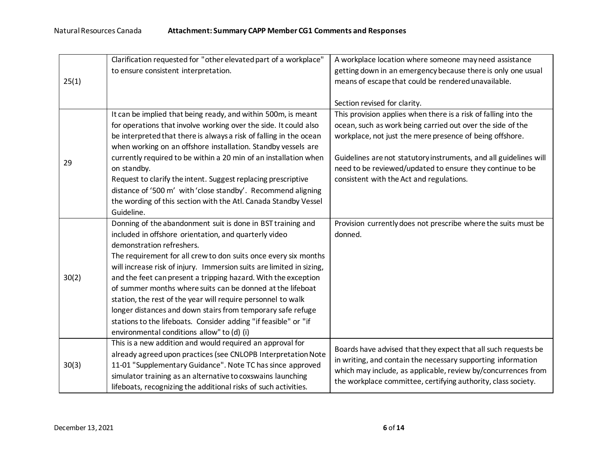|       | Clarification requested for "other elevated part of a workplace"     | A workplace location where someone may need assistance                                                                                                                                         |
|-------|----------------------------------------------------------------------|------------------------------------------------------------------------------------------------------------------------------------------------------------------------------------------------|
| 25(1) | to ensure consistent interpretation.                                 | getting down in an emergency because there is only one usual                                                                                                                                   |
|       |                                                                      | means of escape that could be rendered unavailable.                                                                                                                                            |
|       |                                                                      |                                                                                                                                                                                                |
|       |                                                                      | Section revised for clarity.                                                                                                                                                                   |
|       | It can be implied that being ready, and within 500m, is meant        | This provision applies when there is a risk of falling into the                                                                                                                                |
|       | for operations that involve working over the side. It could also     | ocean, such as work being carried out over the side of the                                                                                                                                     |
|       | be interpreted that there is always a risk of falling in the ocean   | workplace, not just the mere presence of being offshore.                                                                                                                                       |
|       | when working on an offshore installation. Standby vessels are        |                                                                                                                                                                                                |
| 29    | currently required to be within a 20 min of an installation when     | Guidelines are not statutory instruments, and all guidelines will                                                                                                                              |
|       | on standby.                                                          | need to be reviewed/updated to ensure they continue to be                                                                                                                                      |
|       | Request to clarify the intent. Suggest replacing prescriptive        | consistent with the Act and regulations.                                                                                                                                                       |
|       | distance of '500 m' with 'close standby'. Recommend aligning         |                                                                                                                                                                                                |
|       | the wording of this section with the Atl. Canada Standby Vessel      |                                                                                                                                                                                                |
|       | Guideline.                                                           |                                                                                                                                                                                                |
|       | Donning of the abandonment suit is done in BST training and          | Provision currently does not prescribe where the suits must be                                                                                                                                 |
|       | included in offshore orientation, and quarterly video                | donned.                                                                                                                                                                                        |
|       | demonstration refreshers.                                            |                                                                                                                                                                                                |
|       | The requirement for all crew to don suits once every six months      |                                                                                                                                                                                                |
|       | will increase risk of injury. Immersion suits are limited in sizing, |                                                                                                                                                                                                |
| 30(2) | and the feet can present a tripping hazard. With the exception       |                                                                                                                                                                                                |
|       | of summer months where suits can be donned at the lifeboat           |                                                                                                                                                                                                |
|       | station, the rest of the year will require personnel to walk         |                                                                                                                                                                                                |
|       | longer distances and down stairs from temporary safe refuge          |                                                                                                                                                                                                |
|       | stations to the lifeboats. Consider adding "if feasible" or "if      |                                                                                                                                                                                                |
|       | environmental conditions allow" to (d) (i)                           |                                                                                                                                                                                                |
|       | This is a new addition and would required an approval for            | Boards have advised that they expect that all such requests be                                                                                                                                 |
| 30(3) | already agreed upon practices (see CNLOPB Interpretation Note        | in writing, and contain the necessary supporting information<br>which may include, as applicable, review by/concurrences from<br>the workplace committee, certifying authority, class society. |
|       | 11-01 "Supplementary Guidance". Note TC has since approved           |                                                                                                                                                                                                |
|       | simulator training as an alternative to coxswains launching          |                                                                                                                                                                                                |
|       | lifeboats, recognizing the additional risks of such activities.      |                                                                                                                                                                                                |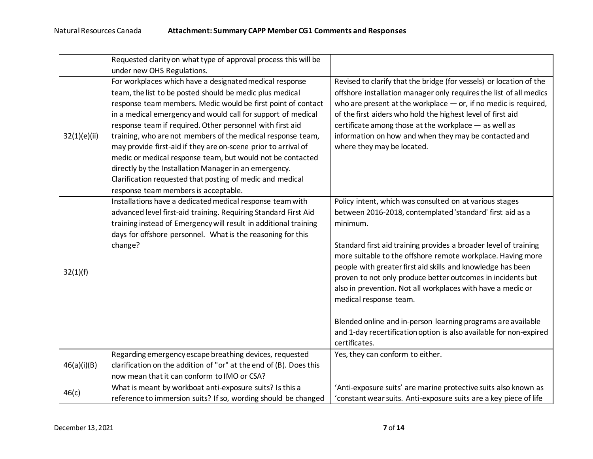|              | Requested clarity on what type of approval process this will be    |                                                                     |
|--------------|--------------------------------------------------------------------|---------------------------------------------------------------------|
|              | under new OHS Regulations.                                         |                                                                     |
|              | For workplaces which have a designated medical response            | Revised to clarify that the bridge (for vessels) or location of the |
|              | team, the list to be posted should be medic plus medical           | offshore installation manager only requires the list of all medics  |
|              | response team members. Medic would be first point of contact       | who are present at the workplace $-$ or, if no medic is required,   |
|              | in a medical emergency and would call for support of medical       | of the first aiders who hold the highest level of first aid         |
|              | response team if required. Other personnel with first aid          | certificate among those at the workplace - as well as               |
| 32(1)(e)(ii) | training, who are not members of the medical response team,        | information on how and when they may be contacted and               |
|              | may provide first-aid if they are on-scene prior to arrival of     | where they may be located.                                          |
|              | medic or medical response team, but would not be contacted         |                                                                     |
|              | directly by the Installation Manager in an emergency.              |                                                                     |
|              | Clarification requested that posting of medic and medical          |                                                                     |
|              | response team members is acceptable.                               |                                                                     |
|              | Installations have a dedicated medical response team with          | Policy intent, which was consulted on at various stages             |
|              | advanced level first-aid training. Requiring Standard First Aid    | between 2016-2018, contemplated 'standard' first aid as a           |
|              | training instead of Emergency will result in additional training   | minimum.                                                            |
|              | days for offshore personnel. What is the reasoning for this        |                                                                     |
| 32(1)(f)     | change?                                                            | Standard first aid training provides a broader level of training    |
|              |                                                                    | more suitable to the offshore remote workplace. Having more         |
|              |                                                                    | people with greater first aid skills and knowledge has been         |
|              |                                                                    | proven to not only produce better outcomes in incidents but         |
|              |                                                                    | also in prevention. Not all workplaces with have a medic or         |
|              |                                                                    | medical response team.                                              |
|              |                                                                    |                                                                     |
|              |                                                                    | Blended online and in-person learning programs are available        |
|              |                                                                    | and 1-day recertification option is also available for non-expired  |
|              |                                                                    | certificates.                                                       |
|              | Regarding emergency escape breathing devices, requested            | Yes, they can conform to either.                                    |
| 46(a)(i)(B)  | clarification on the addition of "or" at the end of (B). Does this |                                                                     |
|              | now mean that it can conform to IMO or CSA?                        |                                                                     |
| 46(c)        | What is meant by workboat anti-exposure suits? Is this a           | 'Anti-exposure suits' are marine protective suits also known as     |
|              | reference to immersion suits? If so, wording should be changed     | 'constant wear suits. Anti-exposure suits are a key piece of life   |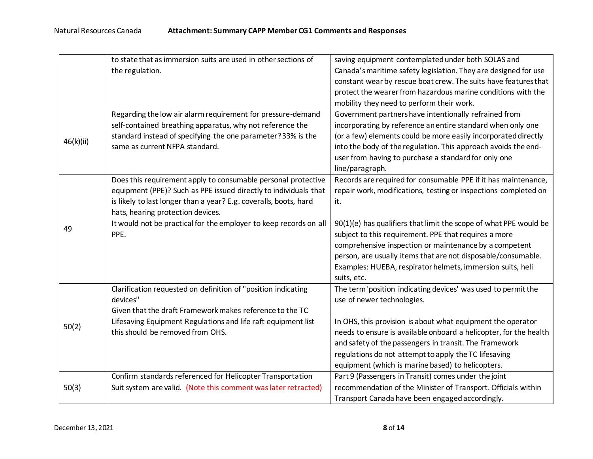|           | to state that as immersion suits are used in other sections of                                                                                                                                                                                                                                                           | saving equipment contemplated under both SOLAS and                                                                                                                                                                                                                                                                               |
|-----------|--------------------------------------------------------------------------------------------------------------------------------------------------------------------------------------------------------------------------------------------------------------------------------------------------------------------------|----------------------------------------------------------------------------------------------------------------------------------------------------------------------------------------------------------------------------------------------------------------------------------------------------------------------------------|
|           | the regulation.                                                                                                                                                                                                                                                                                                          | Canada's maritime safety legislation. They are designed for use                                                                                                                                                                                                                                                                  |
|           |                                                                                                                                                                                                                                                                                                                          | constant wear by rescue boat crew. The suits have features that                                                                                                                                                                                                                                                                  |
|           |                                                                                                                                                                                                                                                                                                                          | protect the wearer from hazardous marine conditions with the                                                                                                                                                                                                                                                                     |
|           |                                                                                                                                                                                                                                                                                                                          | mobility they need to perform their work.                                                                                                                                                                                                                                                                                        |
| 46(k)(ii) | Regarding the low air alarm requirement for pressure-demand<br>self-contained breathing apparatus, why not reference the<br>standard instead of specifying the one parameter? 33% is the<br>same as current NFPA standard.                                                                                               | Government partners have intentionally refrained from<br>incorporating by reference an entire standard when only one<br>(or a few) elements could be more easily incorporated directly<br>into the body of the regulation. This approach avoids the end-<br>user from having to purchase a standard for only one                 |
|           |                                                                                                                                                                                                                                                                                                                          | line/paragraph.                                                                                                                                                                                                                                                                                                                  |
| 49        | Does this requirement apply to consumable personal protective<br>equipment (PPE)? Such as PPE issued directly to individuals that<br>is likely to last longer than a year? E.g. coveralls, boots, hard<br>hats, hearing protection devices.<br>It would not be practical for the employer to keep records on all<br>PPE. | Records are required for consumable PPE if it has maintenance,<br>repair work, modifications, testing or inspections completed on<br>it.<br>90(1)(e) has qualifiers that limit the scope of what PPE would be<br>subject to this requirement. PPE that requires a more<br>comprehensive inspection or maintenance by a competent |
|           |                                                                                                                                                                                                                                                                                                                          | person, are usually items that are not disposable/consumable.<br>Examples: HUEBA, respirator helmets, immersion suits, heli<br>suits, etc.                                                                                                                                                                                       |
|           | Clarification requested on definition of "position indicating<br>devices"<br>Given that the draft Framework makes reference to the TC                                                                                                                                                                                    | The term 'position indicating devices' was used to permit the<br>use of newer technologies.                                                                                                                                                                                                                                      |
| 50(2)     | Lifesaving Equipment Regulations and life raft equipment list<br>this should be removed from OHS.                                                                                                                                                                                                                        | In OHS, this provision is about what equipment the operator<br>needs to ensure is available onboard a helicopter, for the health<br>and safety of the passengers in transit. The Framework<br>regulations do not attempt to apply the TC lifesaving<br>equipment (which is marine based) to helicopters.                         |
| 50(3)     | Confirm standards referenced for Helicopter Transportation<br>Suit system are valid. (Note this comment was later retracted)                                                                                                                                                                                             | Part 9 (Passengers in Transit) comes under the joint<br>recommendation of the Minister of Transport. Officials within<br>Transport Canada have been engaged accordingly.                                                                                                                                                         |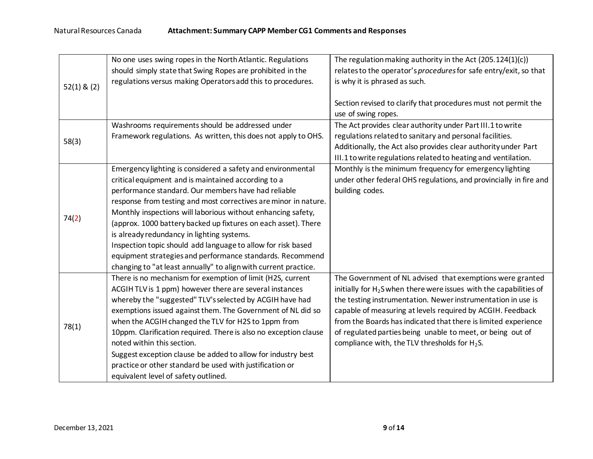|                 | No one uses swing ropes in the North Atlantic. Regulations       | The regulation making authority in the Act (205.124(1)(c))            |
|-----------------|------------------------------------------------------------------|-----------------------------------------------------------------------|
| $52(1)$ & $(2)$ | should simply state that Swing Ropes are prohibited in the       | relates to the operator's procedures for safe entry/exit, so that     |
|                 | regulations versus making Operators add this to procedures.      | is why it is phrased as such.                                         |
|                 |                                                                  |                                                                       |
|                 |                                                                  | Section revised to clarify that procedures must not permit the        |
|                 |                                                                  | use of swing ropes.                                                   |
|                 | Washrooms requirements should be addressed under                 | The Act provides clear authority under Part III.1 to write            |
| 58(3)           | Framework regulations. As written, this does not apply to OHS.   | regulations related to sanitary and personal facilities.              |
|                 |                                                                  | Additionally, the Act also provides clear authority under Part        |
|                 |                                                                  | III.1 to write regulations related to heating and ventilation.        |
|                 | Emergency lighting is considered a safety and environmental      | Monthly is the minimum frequency for emergency lighting               |
|                 | critical equipment and is maintained according to a              | under other federal OHS regulations, and provincially in fire and     |
|                 | performance standard. Our members have had reliable              | building codes.                                                       |
|                 | response from testing and most correctives are minor in nature.  |                                                                       |
| 74(2)           | Monthly inspections will laborious without enhancing safety,     |                                                                       |
|                 | (approx. 1000 battery backed up fixtures on each asset). There   |                                                                       |
|                 | is already redundancy in lighting systems.                       |                                                                       |
|                 | Inspection topic should add language to allow for risk based     |                                                                       |
|                 | equipment strategies and performance standards. Recommend        |                                                                       |
|                 | changing to "at least annually" to align with current practice.  |                                                                       |
|                 | There is no mechanism for exemption of limit (H2S, current       | The Government of NL advised that exemptions were granted             |
|                 | ACGIH TLV is 1 ppm) however there are several instances          | initially for $H_2$ S when there were issues with the capabilities of |
|                 | whereby the "suggested" TLV's selected by ACGIH have had         | the testing instrumentation. Newer instrumentation in use is          |
|                 | exemptions issued against them. The Government of NL did so      | capable of measuring at levels required by ACGIH. Feedback            |
| 78(1)           | when the ACGIH changed the TLV for H2S to 1ppm from              | from the Boards has indicated that there is limited experience        |
|                 | 10ppm. Clarification required. There is also no exception clause | of regulated parties being unable to meet, or being out of            |
|                 | noted within this section.                                       | compliance with, the TLV thresholds for $H_2S$ .                      |
|                 | Suggest exception clause be added to allow for industry best     |                                                                       |
|                 | practice or other standard be used with justification or         |                                                                       |
|                 | equivalent level of safety outlined.                             |                                                                       |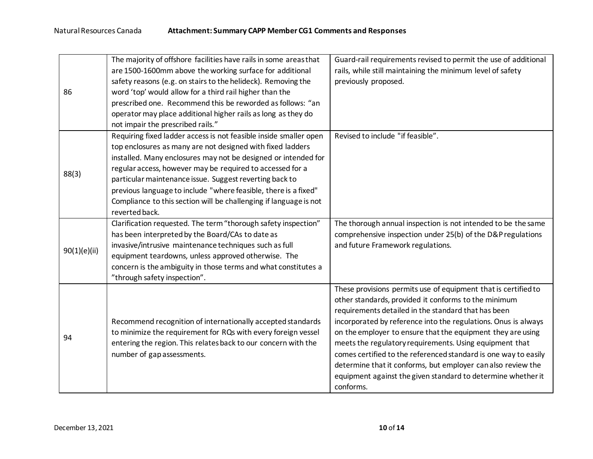|              | The majority of offshore facilities have rails in some areas that | Guard-rail requirements revised to permit the use of additional |
|--------------|-------------------------------------------------------------------|-----------------------------------------------------------------|
| 86           | are 1500-1600mm above the working surface for additional          | rails, while still maintaining the minimum level of safety      |
|              | safety reasons (e.g. on stairs to the helideck). Removing the     | previously proposed.                                            |
|              | word 'top' would allow for a third rail higher than the           |                                                                 |
|              | prescribed one. Recommend this be reworded as follows: "an        |                                                                 |
|              | operator may place additional higher rails as long as they do     |                                                                 |
|              | not impair the prescribed rails."                                 |                                                                 |
|              | Requiring fixed ladder access is not feasible inside smaller open | Revised to include "if feasible".                               |
|              | top enclosures as many are not designed with fixed ladders        |                                                                 |
|              | installed. Many enclosures may not be designed or intended for    |                                                                 |
|              | regular access, however may be required to accessed for a         |                                                                 |
| 88(3)        | particular maintenance issue. Suggest reverting back to           |                                                                 |
|              | previous language to include "where feasible, there is a fixed"   |                                                                 |
|              | Compliance to this section will be challenging if language is not |                                                                 |
|              | reverted back.                                                    |                                                                 |
|              | Clarification requested. The term "thorough safety inspection"    | The thorough annual inspection is not intended to be the same   |
|              | has been interpreted by the Board/CAs to date as                  | comprehensive inspection under 25(b) of the D&P regulations     |
|              | invasive/intrusive maintenance techniques such as full            | and future Framework regulations.                               |
| 90(1)(e)(ii) | equipment teardowns, unless approved otherwise. The               |                                                                 |
|              | concern is the ambiguity in those terms and what constitutes a    |                                                                 |
|              | "through safety inspection".                                      |                                                                 |
|              |                                                                   | These provisions permits use of equipment that is certified to  |
|              |                                                                   | other standards, provided it conforms to the minimum            |
|              |                                                                   | requirements detailed in the standard that has been             |
| 94           | Recommend recognition of internationally accepted standards       | incorporated by reference into the regulations. Onus is always  |
|              | to minimize the requirement for RQs with every foreign vessel     | on the employer to ensure that the equipment they are using     |
|              | entering the region. This relates back to our concern with the    | meets the regulatory requirements. Using equipment that         |
|              | number of gap assessments.                                        | comes certified to the referenced standard is one way to easily |
|              |                                                                   | determine that it conforms, but employer can also review the    |
|              |                                                                   | equipment against the given standard to determine whether it    |
|              |                                                                   | conforms.                                                       |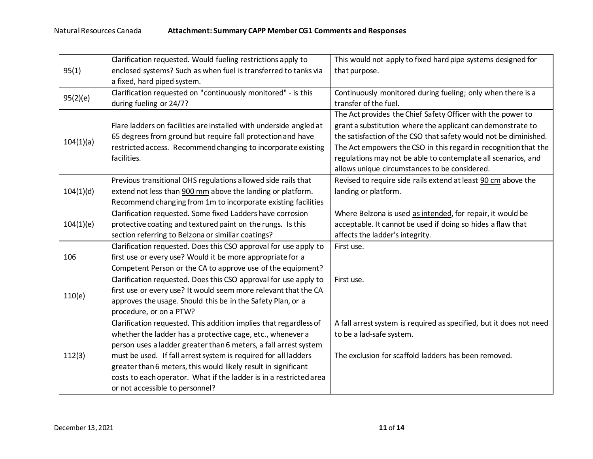|           | Clarification requested. Would fueling restrictions apply to       | This would not apply to fixed hard pipe systems designed for        |
|-----------|--------------------------------------------------------------------|---------------------------------------------------------------------|
| 95(1)     | enclosed systems? Such as when fuel is transferred to tanks via    | that purpose.                                                       |
|           | a fixed, hard piped system.                                        |                                                                     |
| 95(2)(e)  | Clarification requested on "continuously monitored" - is this      | Continuously monitored during fueling; only when there is a         |
|           | during fueling or 24/7?                                            | transfer of the fuel.                                               |
|           |                                                                    | The Act provides the Chief Safety Officer with the power to         |
|           | Flare ladders on facilities are installed with underside angled at | grant a substitution where the applicant can demonstrate to         |
|           | 65 degrees from ground but require fall protection and have        | the satisfaction of the CSO that safety would not be diminished.    |
| 104(1)(a) | restricted access. Recommend changing to incorporate existing      | The Act empowers the CSO in this regard in recognition that the     |
|           | facilities.                                                        | regulations may not be able to contemplate all scenarios, and       |
|           |                                                                    | allows unique circumstances to be considered.                       |
|           | Previous transitional OHS regulations allowed side rails that      | Revised to require side rails extend at least 90 cm above the       |
| 104(1)(d) | extend not less than 900 mm above the landing or platform.         | landing or platform.                                                |
|           | Recommend changing from 1m to incorporate existing facilities      |                                                                     |
|           | Clarification requested. Some fixed Ladders have corrosion         | Where Belzona is used as intended, for repair, it would be          |
| 104(1)(e) | protective coating and textured paint on the rungs. Is this        | acceptable. It cannot be used if doing so hides a flaw that         |
|           | section referring to Belzona or similiar coatings?                 | affects the ladder's integrity.                                     |
|           | Clarification requested. Does this CSO approval for use apply to   | First use.                                                          |
| 106       | first use or every use? Would it be more appropriate for a         |                                                                     |
|           | Competent Person or the CA to approve use of the equipment?        |                                                                     |
|           | Clarification requested. Does this CSO approval for use apply to   | First use.                                                          |
| 110(e)    | first use or every use? It would seem more relevant that the CA    |                                                                     |
|           | approves the usage. Should this be in the Safety Plan, or a        |                                                                     |
|           | procedure, or on a PTW?                                            |                                                                     |
| 112(3)    | Clarification requested. This addition implies that regardless of  | A fall arrest system is required as specified, but it does not need |
|           | whether the ladder has a protective cage, etc., whenever a         | to be a lad-safe system.                                            |
|           | person uses a ladder greater than 6 meters, a fall arrest system   |                                                                     |
|           | must be used. If fall arrest system is required for all ladders    | The exclusion for scaffold ladders has been removed.                |
|           | greater than 6 meters, this would likely result in significant     |                                                                     |
|           | costs to each operator. What if the ladder is in a restricted area |                                                                     |
|           | or not accessible to personnel?                                    |                                                                     |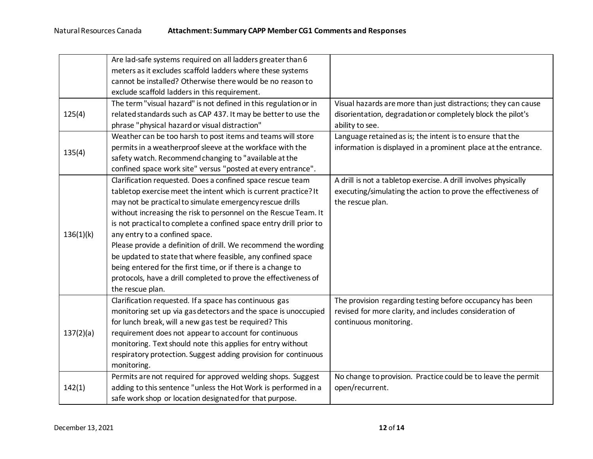|           | Are lad-safe systems required on all ladders greater than 6        |                                                                 |
|-----------|--------------------------------------------------------------------|-----------------------------------------------------------------|
|           | meters as it excludes scaffold ladders where these systems         |                                                                 |
|           | cannot be installed? Otherwise there would be no reason to         |                                                                 |
|           | exclude scaffold ladders in this requirement.                      |                                                                 |
|           | The term "visual hazard" is not defined in this regulation or in   | Visual hazards are more than just distractions; they can cause  |
| 125(4)    | related standards such as CAP 437. It may be better to use the     | disorientation, degradation or completely block the pilot's     |
|           | phrase "physical hazard or visual distraction"                     | ability to see.                                                 |
|           | Weather can be too harsh to post items and teams will store        | Language retained as is; the intent is to ensure that the       |
|           | permits in a weatherproof sleeve at the workface with the          | information is displayed in a prominent place at the entrance.  |
| 135(4)    | safety watch. Recommend changing to "available at the              |                                                                 |
|           | confined space work site" versus "posted at every entrance".       |                                                                 |
|           | Clarification requested. Does a confined space rescue team         | A drill is not a tabletop exercise. A drill involves physically |
|           | tabletop exercise meet the intent which is current practice? It    | executing/simulating the action to prove the effectiveness of   |
|           | may not be practical to simulate emergency rescue drills           | the rescue plan.                                                |
|           | without increasing the risk to personnel on the Rescue Team. It    |                                                                 |
|           | is not practical to complete a confined space entry drill prior to |                                                                 |
| 136(1)(k) | any entry to a confined space.                                     |                                                                 |
|           | Please provide a definition of drill. We recommend the wording     |                                                                 |
|           | be updated to state that where feasible, any confined space        |                                                                 |
|           | being entered for the first time, or if there is a change to       |                                                                 |
|           | protocols, have a drill completed to prove the effectiveness of    |                                                                 |
|           | the rescue plan.                                                   |                                                                 |
|           | Clarification requested. If a space has continuous gas             | The provision regarding testing before occupancy has been       |
|           | monitoring set up via gas detectors and the space is unoccupied    | revised for more clarity, and includes consideration of         |
| 137(2)(a) | for lunch break, will a new gas test be required? This             | continuous monitoring.                                          |
|           | requirement does not appear to account for continuous              |                                                                 |
|           | monitoring. Text should note this applies for entry without        |                                                                 |
|           | respiratory protection. Suggest adding provision for continuous    |                                                                 |
|           | monitoring.                                                        |                                                                 |
|           | Permits are not required for approved welding shops. Suggest       | No change to provision. Practice could be to leave the permit   |
| 142(1)    | adding to this sentence "unless the Hot Work is performed in a     | open/recurrent.                                                 |
|           | safe work shop or location designated for that purpose.            |                                                                 |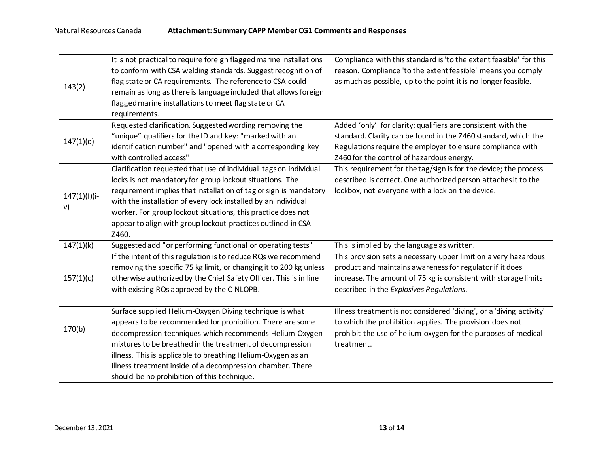|                | It is not practical to require foreign flagged marine installations | Compliance with this standard is 'to the extent feasible' for this   |
|----------------|---------------------------------------------------------------------|----------------------------------------------------------------------|
| 143(2)         | to conform with CSA welding standards. Suggest recognition of       | reason. Compliance 'to the extent feasible' means you comply         |
|                | flag state or CA requirements. The reference to CSA could           | as much as possible, up to the point it is no longer feasible.       |
|                | remain as long as there is language included that allows foreign    |                                                                      |
|                | flagged marine installations to meet flag state or CA               |                                                                      |
|                | requirements.                                                       |                                                                      |
|                | Requested clarification. Suggested wording removing the             | Added 'only' for clarity; qualifiers are consistent with the         |
| 147(1)(d)      | "unique" qualifiers for the ID and key: "marked with an             | standard. Clarity can be found in the Z460 standard, which the       |
|                | identification number" and "opened with a corresponding key         | Regulations require the employer to ensure compliance with           |
|                | with controlled access"                                             | Z460 for the control of hazardous energy.                            |
|                | Clarification requested that use of individual tags on individual   | This requirement for the tag/sign is for the device; the process     |
|                | locks is not mandatory for group lockout situations. The            | described is correct. One authorized person attaches it to the       |
| $147(1)(f)(i-$ | requirement implies that installation of tag or sign is mandatory   | lockbox, not everyone with a lock on the device.                     |
| v)             | with the installation of every lock installed by an individual      |                                                                      |
|                | worker. For group lockout situations, this practice does not        |                                                                      |
|                | appear to align with group lockout practices outlined in CSA        |                                                                      |
|                | Z460.                                                               |                                                                      |
| 147(1)(k)      | Suggested add "or performing functional or operating tests"         | This is implied by the language as written.                          |
|                | If the intent of this regulation is to reduce RQs we recommend      | This provision sets a necessary upper limit on a very hazardous      |
|                | removing the specific 75 kg limit, or changing it to 200 kg unless  | product and maintains awareness for regulator if it does             |
| 157(1)(c)      | otherwise authorized by the Chief Safety Officer. This is in line   | increase. The amount of 75 kg is consistent with storage limits      |
|                | with existing RQs approved by the C-NLOPB.                          | described in the Explosives Regulations.                             |
|                |                                                                     |                                                                      |
|                | Surface supplied Helium-Oxygen Diving technique is what             | Illness treatment is not considered 'diving', or a 'diving activity' |
| 170(b)         | appears to be recommended for prohibition. There are some           | to which the prohibition applies. The provision does not             |
|                | decompression techniques which recommends Helium-Oxygen             | prohibit the use of helium-oxygen for the purposes of medical        |
|                | mixtures to be breathed in the treatment of decompression           | treatment.                                                           |
|                | illness. This is applicable to breathing Helium-Oxygen as an        |                                                                      |
|                | illness treatment inside of a decompression chamber. There          |                                                                      |
|                | should be no prohibition of this technique.                         |                                                                      |